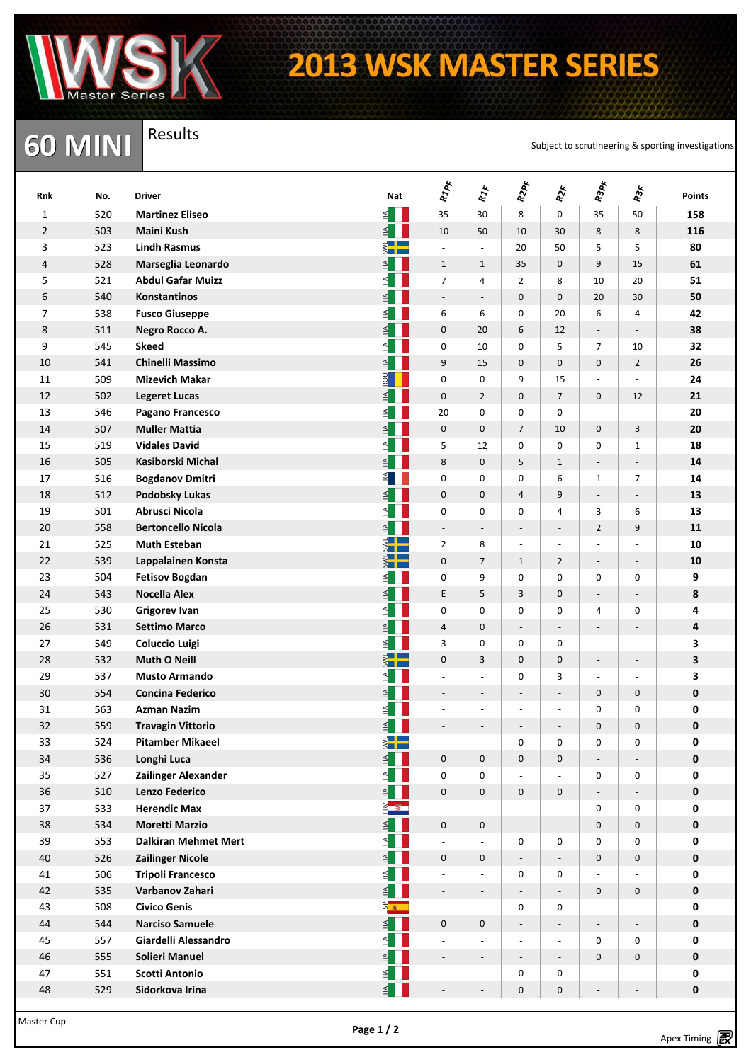

Results

## **2013 WSK MASTER SERIES**

**60 MINI** Results<br>Subject to scrutineering & sporting investigations

| Rnk            | No.        | <b>Driver</b>                               | Nat                     | RIPF                                       | $R_{J\mathcal{F}}$                         | R2PF                                       | <b>RX</b>                          | R3pF                                         | <b>R3F</b>                        | <b>Points</b>              |
|----------------|------------|---------------------------------------------|-------------------------|--------------------------------------------|--------------------------------------------|--------------------------------------------|------------------------------------|----------------------------------------------|-----------------------------------|----------------------------|
| 1              | 520        | <b>Martinez Eliseo</b>                      | ≝∎                      | 35                                         | 30                                         | 8                                          | 0                                  | 35                                           | 50                                | 158                        |
| $\overline{2}$ | 503        | <b>Maini Kush</b>                           | E                       | 10                                         | 50                                         | 10                                         | 30                                 | 8                                            | 8                                 | 116                        |
| 3              | 523        | <b>Lindh Rasmus</b>                         | $rac{1}{2}$             | $\blacksquare$                             | $\omega$                                   | 20                                         | 50                                 | 5                                            | 5                                 | 80                         |
| 4              | 528        | Marseglia Leonardo                          | ₫                       | $\mathbf{1}$                               | $\mathbf{1}$                               | 35                                         | $\mathbf 0$                        | 9                                            | 15                                | 61                         |
| 5              | 521        | <b>Abdul Gafar Muizz</b>                    | ₫                       | $\overline{7}$                             | 4                                          | $\overline{2}$                             | 8                                  | 10                                           | 20                                | 51                         |
| 6              | 540        | <b>Konstantinos</b>                         | ₫                       | $\overline{\phantom{a}}$                   | $\overline{\phantom{a}}$                   | 0                                          | $\mathbf 0$                        | 20                                           | 30                                | 50                         |
| 7              | 538        | <b>Fusco Giuseppe</b>                       | ₫                       | 6                                          | 6                                          | $\pmb{0}$                                  | 20                                 | 6                                            | 4                                 | 42                         |
| 8              | 511        | Negro Rocco A.                              | ₫                       | 0                                          | 20                                         | 6                                          | 12                                 | ۰                                            | $\overline{a}$                    | 38                         |
| 9              | 545        | <b>Skeed</b>                                | ₫                       | 0                                          | 10                                         | 0                                          | 5                                  | $\overline{7}$                               | 10                                | 32                         |
| 10             | 541        | <b>Chinelli Massimo</b>                     | ₫                       | 9                                          | 15                                         | $\mathbf 0$                                | $\mathbf 0$                        | $\mathbf{0}$                                 | $\overline{2}$                    | 26                         |
| 11             | 509        | <b>Mizevich Makar</b>                       | $\frac{1}{2}$           | 0                                          | 0                                          | 9                                          | 15                                 | $\overline{a}$                               | L,                                | 24                         |
| 12             | 502        | <b>Legeret Lucas</b>                        | ₹                       | $\mathbf 0$                                | $\overline{2}$                             | $\mathbf 0$                                | $\overline{7}$                     | $\mathbf 0$                                  | 12                                | 21                         |
| 13             | 546        | Pagano Francesco                            | ₫                       | 20                                         | $\mathbf 0$                                | $\pmb{0}$                                  | 0                                  | ÷,                                           | L,                                | 20                         |
| 14             | 507        | <b>Muller Mattia</b>                        | ₫                       | 0                                          | $\pmb{0}$                                  | $\overline{7}$                             | 10                                 | $\mathbf 0$                                  | 3                                 | 20                         |
| 15             | 519        | <b>Vidales David</b>                        | ₫                       | 5                                          | 12                                         | $\mathbf 0$                                | $\mathbf 0$                        | $\mathbf 0$                                  | $\mathbf{1}$                      | 18                         |
| 16             | 505        | Kasiborski Michal                           | ₫                       | 8                                          | $\mathbf 0$                                | 5                                          | $\mathbf{1}$                       | $\overline{a}$                               | $\qquad \qquad \blacksquare$      | 14                         |
| 17             | 516        | <b>Bogdanov Dmitri</b>                      | FA                      | 0                                          | $\mathbf 0$                                | $\boldsymbol{0}$                           | 6                                  | $\mathbf{1}$                                 | $\overline{7}$                    | 14                         |
| 18             | 512        | <b>Podobsky Lukas</b>                       | ₫                       | $\mathbf 0$                                | $\mathbf 0$                                | 4                                          | 9                                  | $\overline{\phantom{a}}$                     | $\overline{\phantom{a}}$          | 13                         |
| 19             | 501        | <b>Abrusci Nicola</b>                       | ₫                       | 0                                          | $\mathbf 0$                                | $\pmb{0}$                                  | 4                                  | 3                                            | 6                                 | 13                         |
| 20             | 558        | <b>Bertoncello Nicola</b>                   | ₫                       | $\overline{\phantom{m}}$                   | $\overline{\phantom{0}}$                   | $\overline{\phantom{m}}$                   | $\qquad \qquad \blacksquare$       | $\overline{2}$                               | 9                                 | 11                         |
| 21             | 525        | <b>Muth Esteban</b>                         | $\frac{1}{2}$           | $\overline{2}$                             | 8                                          | $\overline{\phantom{a}}$                   | $\overline{\phantom{a}}$           | L,                                           |                                   | 10                         |
| 22             | 539        | Lappalainen Konsta                          | $\frac{1}{2}$           | 0                                          | $\overline{7}$                             | $\mathbf{1}$                               | $\overline{2}$                     | $\overline{\phantom{a}}$                     | $\overline{\phantom{a}}$          | 10                         |
| 23             | 504        | <b>Fetisov Bogdan</b>                       | $\leq$                  | 0                                          | 9                                          | $\mathbf 0$                                | 0                                  | 0                                            | 0                                 | 9                          |
| 24             | 543        | <b>Nocella Alex</b>                         | ₫                       | E                                          | 5                                          | 3                                          | $\mathbf 0$                        | $\overline{a}$                               | $\qquad \qquad \blacksquare$      | 8                          |
| 25             | 530        | <b>Grigorev Ivan</b>                        | ₫                       | 0                                          | $\mathbf 0$                                | 0                                          | $\mathbf 0$                        | 4                                            | $\mathbf 0$                       | 4                          |
| 26             | 531        | <b>Settimo Marco</b>                        | ₫                       | 4                                          | $\mathbf 0$                                | $\overline{\phantom{a}}$                   | $\overline{\phantom{a}}$           | $\overline{\phantom{a}}$                     | $\overline{a}$                    | 4                          |
| 27             | 549        | <b>Coluccio Luigi</b>                       | ₫                       | 3                                          | $\mathbf 0$                                | 0                                          | 0                                  | L,                                           | L,                                | 3                          |
| 28             | 532        | <b>Muth O Neill</b>                         | <b>SWE</b>              | $\boldsymbol{0}$                           | 3                                          | $\pmb{0}$                                  | $\pmb{0}$                          | $\overline{\phantom{a}}$                     | $\overline{\phantom{a}}$          | 3                          |
| 29             | 537        | <b>Musto Armando</b>                        | ₫                       | $\frac{1}{2}$                              | ÷,                                         | $\mathbf 0$                                | 3                                  | $\sim$                                       | $\blacksquare$                    | 3                          |
| 30             | 554        | <b>Concina Federico</b>                     | ₫                       | $\overline{\phantom{a}}$                   | $\qquad \qquad -$                          | $\overline{\phantom{a}}$                   | $\overline{\phantom{a}}$           | $\mathbf 0$                                  | $\mathbf 0$                       | 0                          |
| 31             | 563        | <b>Azman Nazim</b>                          | ₫                       | $\bar{\phantom{a}}$                        | $\overline{\phantom{a}}$                   | $\overline{\phantom{a}}$                   | $\overline{\phantom{a}}$           | 0                                            | $\mathbf 0$                       | 0                          |
| 32             | 559        | <b>Travagin Vittorio</b>                    | ₫                       | -                                          | $\overline{a}$                             |                                            | $\qquad \qquad \blacksquare$       | $\mathbf 0$                                  | $\mathbf 0$                       | 0                          |
| 33             | 524        | <b>Pitamber Mikaeel</b>                     | $\frac{1}{2}$           | $\overline{\phantom{a}}$                   | $\overline{\phantom{a}}$                   | 0                                          | 0                                  | 0                                            | 0                                 | 0                          |
| 34             | 536        | Longhi Luca                                 | E                       | $\mathbf 0$                                | $\boldsymbol{0}$                           | $\boldsymbol{0}$                           | $\boldsymbol{0}$                   | $\overline{\phantom{a}}$                     |                                   | $\pmb{0}$                  |
| 35             | 527        | Zailinger Alexander                         | ₹                       | $\pmb{0}$                                  | $\mathbf 0$                                | $\bar{\phantom{a}}$                        | $\overline{\phantom{a}}$           | 0                                            | $\mathbf 0$                       | $\mathbf 0$                |
| 36             | 510        | <b>Lenzo Federico</b>                       | ₫                       | 0                                          | $\boldsymbol{0}$                           | $\boldsymbol{0}$                           | $\boldsymbol{0}$                   | $\overline{a}$                               |                                   | $\pmb{0}$                  |
| 37             | 533        | <b>Herendic Max</b>                         | $\frac{2}{\frac{1}{2}}$ | $\omega$                                   | $\Box$                                     | $\overline{\phantom{a}}$                   | $\omega$                           | $\mathbf 0$                                  | $\mathbf 0$                       | $\mathbf 0$                |
| 38             | 534        | <b>Moretti Marzio</b>                       | E                       | $\mathbf 0$                                | $\boldsymbol{0}$                           | $\overline{\phantom{a}}$                   | $\overline{\phantom{a}}$           | $\mathbf 0$                                  | $\mathbf 0$                       | $\pmb{0}$                  |
| 39<br>40       | 553        | <b>Dalkiran Mehmet Mert</b>                 | $\leq$                  | $\overline{\phantom{a}}$                   | ÷,                                         | 0                                          | 0                                  | 0                                            | $\mathbf 0$                       | 0<br>$\pmb{0}$             |
|                | 526        | <b>Zailinger Nicole</b>                     | $\mathbb{R}$            | $\boldsymbol{0}$                           | $\pmb{0}$                                  | $\overline{\phantom{a}}$                   | $\overline{\phantom{a}}$           | $\mathbf 0$                                  | $\mathbf 0$                       |                            |
| 41<br>42       | 506<br>535 | <b>Tripoli Francesco</b><br>Varbanov Zahari | 旨<br>₫                  | $\overline{\phantom{a}}$                   | ÷,                                         | $\pmb{0}$                                  | 0<br>$\qquad \qquad \blacksquare$  | $\overline{\phantom{a}}$<br>$\boldsymbol{0}$ | $\boldsymbol{0}$                  | $\mathbf 0$<br>$\mathbf 0$ |
| 43             | 508        | <b>Civico Genis</b>                         | $\frac{a}{2}$           | $\overline{\phantom{a}}$<br>$\blacksquare$ | $\overline{\phantom{0}}$<br>$\blacksquare$ | $\pmb{0}$                                  | 0                                  | ÷,                                           | L.                                | $\mathbf 0$                |
| 44             | 544        | <b>Narciso Samuele</b>                      |                         |                                            |                                            |                                            |                                    |                                              |                                   | $\pmb{0}$                  |
| 45             | 557        | Giardelli Alessandro                        | $\leq$<br>$\leq$        | $\mathbf 0$<br>$\Box$                      | $\boldsymbol{0}$<br>÷,                     | $\overline{\phantom{a}}$<br>$\blacksquare$ | $\overline{\phantom{a}}$<br>$\Box$ | 0                                            | $\qquad \qquad \blacksquare$<br>0 | 0                          |
| 46             | 555        | Solieri Manuel                              | ₹                       | $\blacksquare$                             | $\frac{1}{2}$                              |                                            | $\overline{\phantom{a}}$           | $\mathbf 0$                                  | $\mathbf 0$                       | $\mathbf 0$                |
| 47             | 551        | <b>Scotti Antonio</b>                       | ₹                       | $\overline{\phantom{a}}$                   | $\blacksquare$                             | $\boldsymbol{0}$                           | 0                                  | $\overline{a}$                               |                                   | $\mathbf 0$                |
| 48             | 529        | Sidorkova Irina                             | $\mathbb{R}$            |                                            |                                            |                                            |                                    |                                              |                                   | $\mathbf 0$                |
|                |            |                                             |                         | $\overline{\phantom{0}}$                   | $\overline{\phantom{m}}$                   | 0                                          | 0                                  |                                              | $\overline{\phantom{0}}$          |                            |